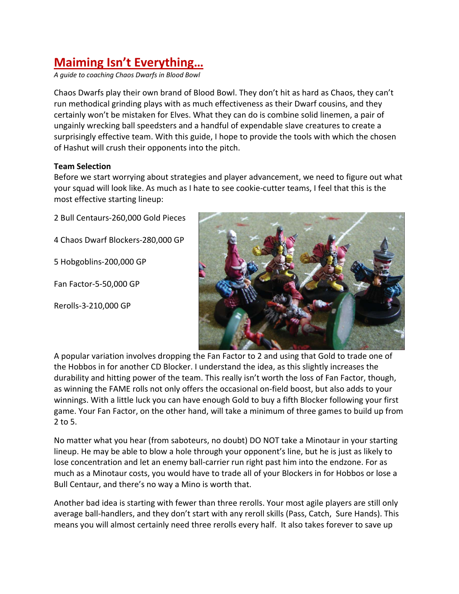# **Maiming Isn't Everything…**

*A guide to coaching Chaos Dwarfs in Blood Bowl*

Chaos Dwarfs play their own brand of Blood Bowl. They don't hit as hard as Chaos, they can't run methodical grinding plays with as much effectiveness as their Dwarf cousins, and they certainly won't be mistaken for Elves. What they can do is combine solid linemen, a pair of ungainly wrecking ball speedsters and a handful of expendable slave creatures to create a surprisingly effective team. With this guide, I hope to provide the tools with which the chosen of Hashut will crush their opponents into the pitch.

# **Team Selection**

Before we start worrying about strategies and player advancement, we need to figure out what your squad will look like. As much as I hate to see cookie‐cutter teams, I feel that this is the most effective starting lineup:

2 Bull Centaurs‐260,000 Gold Pieces

4 Chaos Dwarf Blockers‐280,000 GP

5 Hobgoblins‐200,000 GP

Fan Factor‐5‐50,000 GP

Rerolls‐3‐210,000 GP



A popular variation involves dropping the Fan Factor to 2 and using that Gold to trade one of the Hobbos in for another CD Blocker. I understand the idea, as this slightly increases the durability and hitting power of the team. This really isn't worth the loss of Fan Factor, though, as winning the FAME rolls not only offers the occasional on‐field boost, but also adds to your winnings. With a little luck you can have enough Gold to buy a fifth Blocker following your first game. Your Fan Factor, on the other hand, will take a minimum of three games to build up from 2 to 5.

No matter what you hear (from saboteurs, no doubt) DO NOT take a Minotaur in your starting lineup. He may be able to blow a hole through your opponent's line, but he is just as likely to lose concentration and let an enemy ball‐carrier run right past him into the endzone. For as much as a Minotaur costs, you would have to trade all of your Blockers in for Hobbos or lose a Bull Centaur, and there's no way a Mino is worth that.

Another bad idea is starting with fewer than three rerolls. Your most agile players are still only average ball‐handlers, and they don't start with any reroll skills (Pass, Catch, Sure Hands). This means you will almost certainly need three rerolls every half. It also takes forever to save up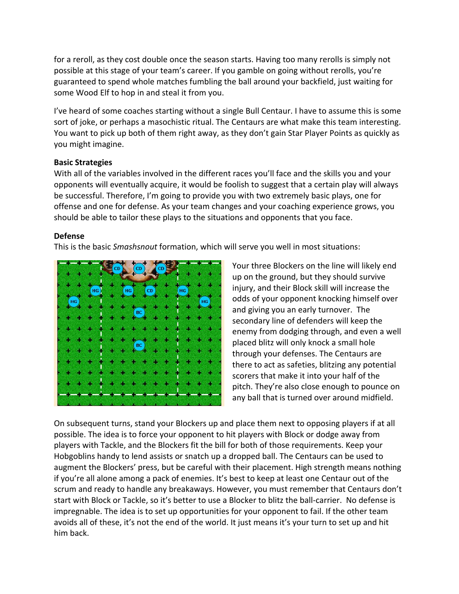for a reroll, as they cost double once the season starts. Having too many rerolls is simply not possible at this stage of your team's career. If you gamble on going without rerolls, you're guaranteed to spend whole matches fumbling the ball around your backfield, just waiting for some Wood Elf to hop in and steal it from you.

I've heard of some coaches starting without a single Bull Centaur. I have to assume this is some sort of joke, or perhaps a masochistic ritual. The Centaurs are what make this team interesting. You want to pick up both of them right away, as they don't gain Star Player Points as quickly as you might imagine.

## **Basic Strategies**

With all of the variables involved in the different races you'll face and the skills you and your opponents will eventually acquire, it would be foolish to suggest that a certain play will always be successful. Therefore, I'm going to provide you with two extremely basic plays, one for offense and one for defense. As your team changes and your coaching experience grows, you should be able to tailor these plays to the situations and opponents that you face.

# **Defense**

This is the basic *Smashsnout* formation, which will serve you well in most situations:



Your three Blockers on the line will likely end up on the ground, but they should survive injury, and their Block skill will increase the odds of your opponent knocking himself over and giving you an early turnover. The secondary line of defenders will keep the enemy from dodging through, and even a well placed blitz will only knock a small hole through your defenses. The Centaurs are there to act as safeties, blitzing any potential scorers that make it into your half of the pitch. They're also close enough to pounce on any ball that is turned over around midfield.

On subsequent turns, stand your Blockers up and place them next to opposing players if at all possible. The idea is to force your opponent to hit players with Block or dodge away from players with Tackle, and the Blockers fit the bill for both of those requirements. Keep your Hobgoblins handy to lend assists or snatch up a dropped ball. The Centaurs can be used to augment the Blockers' press, but be careful with their placement. High strength means nothing if you're all alone among a pack of enemies. It's best to keep at least one Centaur out of the scrum and ready to handle any breakaways. However, you must remember that Centaurs don't start with Block or Tackle, so it's better to use a Blocker to blitz the ball‐carrier. No defense is impregnable. The idea is to set up opportunities for your opponent to fail. If the other team avoids all of these, it's not the end of the world. It just means it's your turn to set up and hit him back.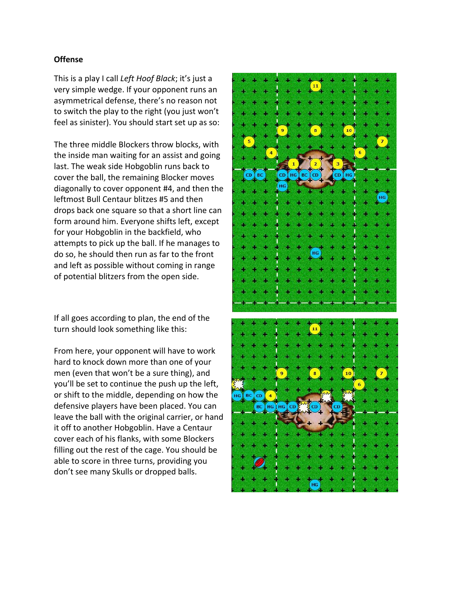#### **Offense**

This is a play I call *Left Hoof Black*; it's just a very simple wedge. If your opponent runs an asymmetrical defense, there's no reason not to switch the play to the right (you just won't feel as sinister). You should start set up as so:

The three middle Blockers throw blocks, with the inside man waiting for an assist and going last. The weak side Hobgoblin runs back to cover the ball, the remaining Blocker moves diagonally to cover opponent #4, and then the leftmost Bull Centaur blitzes #5 and then drops back one square so that a short line can form around him. Everyone shifts left, except for your Hobgoblin in the backfield, who attempts to pick up the ball. If he manages to do so, he should then run as far to the front and left as possible without coming in range of potential blitzers from the open side.

If all goes according to plan, the end of the turn should look something like this:

From here, your opponent will have to work hard to knock down more than one of your men (even that won't be a sure thing), and you'll be set to continue the push up the left, or shift to the middle, depending on how the defensive players have been placed. You can leave the ball with the original carrier, or hand it off to another Hobgoblin. Have a Centaur cover each of his flanks, with some Blockers filling out the rest of the cage. You should be able to score in three turns, providing you don't see many Skulls or dropped balls.

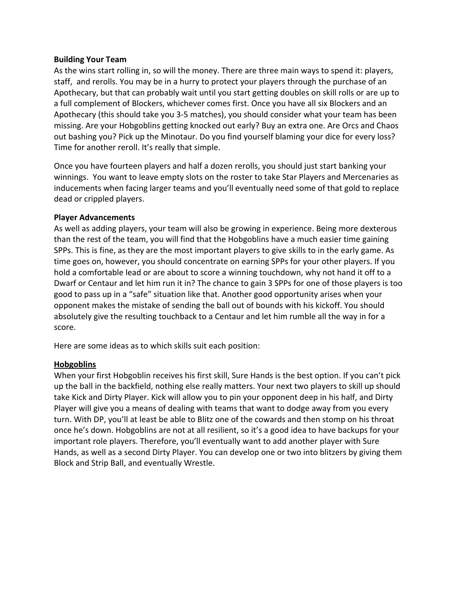## **Building Your Team**

As the wins start rolling in, so will the money. There are three main ways to spend it: players, staff, and rerolls. You may be in a hurry to protect your players through the purchase of an Apothecary, but that can probably wait until you start getting doubles on skill rolls or are up to a full complement of Blockers, whichever comes first. Once you have all six Blockers and an Apothecary (this should take you 3‐5 matches), you should consider what your team has been missing. Are your Hobgoblins getting knocked out early? Buy an extra one. Are Orcs and Chaos out bashing you? Pick up the Minotaur. Do you find yourself blaming your dice for every loss? Time for another reroll. It's really that simple.

Once you have fourteen players and half a dozen rerolls, you should just start banking your winnings. You want to leave empty slots on the roster to take Star Players and Mercenaries as inducements when facing larger teams and you'll eventually need some of that gold to replace dead or crippled players.

#### **Player Advancements**

As well as adding players, your team will also be growing in experience. Being more dexterous than the rest of the team, you will find that the Hobgoblins have a much easier time gaining SPPs. This is fine, as they are the most important players to give skills to in the early game. As time goes on, however, you should concentrate on earning SPPs for your other players. If you hold a comfortable lead or are about to score a winning touchdown, why not hand it off to a Dwarf or Centaur and let him run it in? The chance to gain 3 SPPs for one of those players is too good to pass up in a "safe" situation like that. Another good opportunity arises when your opponent makes the mistake of sending the ball out of bounds with his kickoff. You should absolutely give the resulting touchback to a Centaur and let him rumble all the way in for a score.

Here are some ideas as to which skills suit each position:

## **Hobgoblins**

When your first Hobgoblin receives his first skill, Sure Hands is the best option. If you can't pick up the ball in the backfield, nothing else really matters. Your next two players to skill up should take Kick and Dirty Player. Kick will allow you to pin your opponent deep in his half, and Dirty Player will give you a means of dealing with teams that want to dodge away from you every turn. With DP, you'll at least be able to Blitz one of the cowards and then stomp on his throat once he's down. Hobgoblins are not at all resilient, so it's a good idea to have backups for your important role players. Therefore, you'll eventually want to add another player with Sure Hands, as well as a second Dirty Player. You can develop one or two into blitzers by giving them Block and Strip Ball, and eventually Wrestle.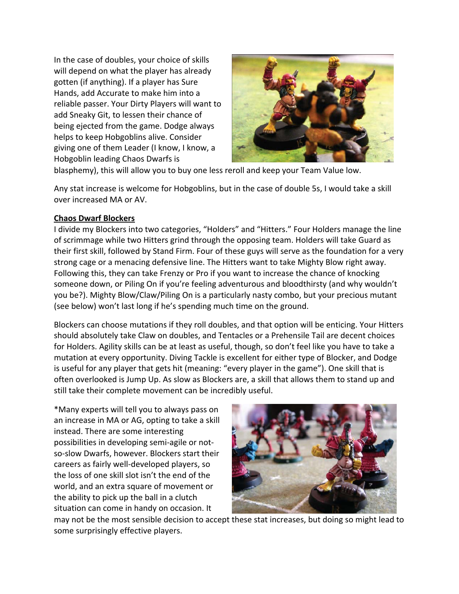In the case of doubles, your choice of skills will depend on what the player has already gotten (if anything). If a player has Sure Hands, add Accurate to make him into a reliable passer. Your Dirty Players will want to add Sneaky Git, to lessen their chance of being ejected from the game. Dodge always helps to keep Hobgoblins alive. Consider giving one of them Leader (I know, I know, a Hobgoblin leading Chaos Dwarfs is



blasphemy), this will allow you to buy one less reroll and keep your Team Value low.

Any stat increase is welcome for Hobgoblins, but in the case of double 5s, I would take a skill over increased MA or AV.

## **Chaos Dwarf Blockers**

I divide my Blockers into two categories, "Holders" and "Hitters." Four Holders manage the line of scrimmage while two Hitters grind through the opposing team. Holders will take Guard as their first skill, followed by Stand Firm. Four of these guys will serve as the foundation for a very strong cage or a menacing defensive line. The Hitters want to take Mighty Blow right away. Following this, they can take Frenzy or Pro if you want to increase the chance of knocking someone down, or Piling On if you're feeling adventurous and bloodthirsty (and why wouldn't you be?). Mighty Blow/Claw/Piling On is a particularly nasty combo, but your precious mutant (see below) won't last long if he's spending much time on the ground.

Blockers can choose mutations if they roll doubles, and that option will be enticing. Your Hitters should absolutely take Claw on doubles, and Tentacles or a Prehensile Tail are decent choices for Holders. Agility skills can be at least as useful, though, so don't feel like you have to take a mutation at every opportunity. Diving Tackle is excellent for either type of Blocker, and Dodge is useful for any player that gets hit (meaning: "every player in the game"). One skill that is often overlooked is Jump Up. As slow as Blockers are, a skill that allows them to stand up and still take their complete movement can be incredibly useful.

\*Many experts will tell you to always pass on an increase in MA or AG, opting to take a skill instead. There are some interesting possibilities in developing semi‐agile or not‐ so‐slow Dwarfs, however. Blockers start their careers as fairly well‐developed players, so the loss of one skill slot isn't the end of the world, and an extra square of movement or the ability to pick up the ball in a clutch situation can come in handy on occasion. It



may not be the most sensible decision to accept these stat increases, but doing so might lead to some surprisingly effective players.